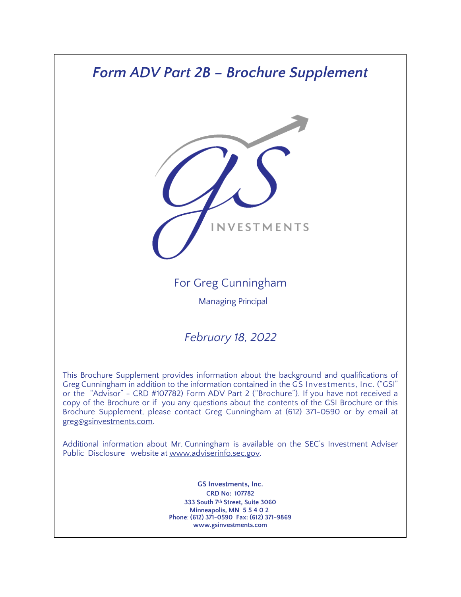# *Form ADV Part 2B – Brochure Supplement*



# For Greg Cunningham

Managing Principal

# *February 18, 2022*

This Brochure Supplement provides information about the background and qualifications of Greg Cunningham in addition to the information contained in the GS Investments, Inc. ("GSI" or the "Advisor" - CRD #107782) Form ADV Part 2 ("Brochure"). If you have not received a copy of the Brochure or if you any questions about the contents of the GSI Brochure or this Brochure Supplement, please contact Greg Cunningham at (612) 371-0590 or by email at greg@gsinvestments.com.

Additional information about Mr. Cunningham is available on the SEC's Investment Adviser Public Disclosure website at [www.adviserinfo.sec.gov.](http://www.adviserinfo.sec.gov/)

> **GS Investments, Inc. CRD No: 107782 333 South 7th Street, Suite 3060 Minneapolis, MN 55402 Phone**: **(612) 371-0590 Fax: (612) 371-9869 [www.gsinvestments.com](http://www.gsinvestments.com/)**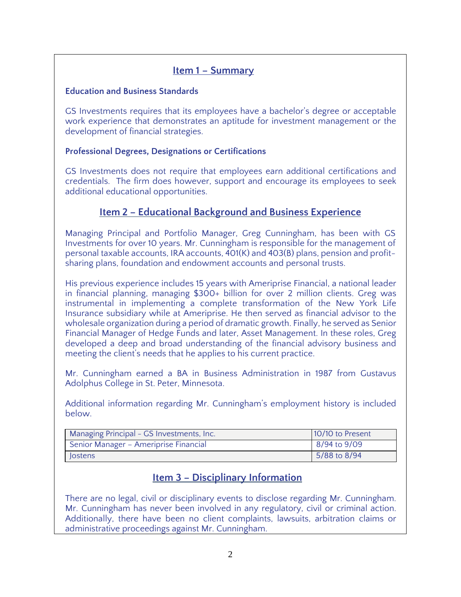## **Item 1 – Summary**

#### **Education and Business Standards**

GS Investments requires that its employees have a bachelor's degree or acceptable work experience that demonstrates an aptitude for investment management or the development of financial strategies.

#### **Professional Degrees, Designations or Certifications**

GS Investments does not require that employees earn additional certifications and credentials. The firm does however, support and encourage its employees to seek additional educational opportunities.

## **Item 2 – Educational Background and Business Experience**

Managing Principal and Portfolio Manager, Greg Cunningham, has been with GS Investments for over 10 years. Mr. Cunningham is responsible for the management of personal taxable accounts, IRA accounts, 401(K) and 403(B) plans, pension and profitsharing plans, foundation and endowment accounts and personal trusts.

His previous experience includes 15 years with Ameriprise Financial, a national leader in financial planning, managing \$300+ billion for over 2 million clients. Greg was instrumental in implementing a complete transformation of the New York Life Insurance subsidiary while at Ameriprise. He then served as financial advisor to the wholesale organization during a period of dramatic growth. Finally, he served as Senior Financial Manager of Hedge Funds and later, Asset Management. In these roles, Greg developed a deep and broad understanding of the financial advisory business and meeting the client's needs that he applies to his current practice.

Mr. Cunningham earned a BA in Business Administration in 1987 from Gustavus Adolphus College in St. Peter, Minnesota.

Additional information regarding Mr. Cunningham's employment history is included below.

| Managing Principal - GS Investments, Inc. | 10/10 to Present |
|-------------------------------------------|------------------|
| Senior Manager - Ameriprise Financial     | 8/94 to 9/09     |
| <b>lostens</b>                            | 5/88 to 8/94     |

# **Item 3 – Disciplinary Information**

There are no legal, civil or disciplinary events to disclose regarding Mr. Cunningham. Mr. Cunningham has never been involved in any regulatory, civil or criminal action. Additionally, there have been no client complaints, lawsuits, arbitration claims or administrative proceedings against Mr. Cunningham.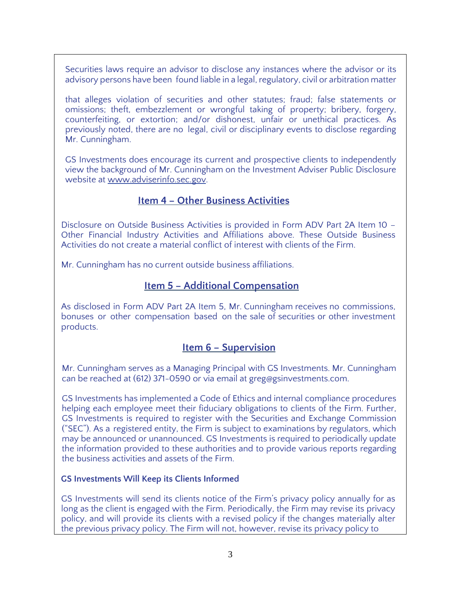Securities laws require an advisor to disclose any instances where the advisor or its advisory persons have been found liable in a legal, regulatory, civil or arbitration matter

that alleges violation of securities and other statutes; fraud; false statements or omissions; theft, embezzlement or wrongful taking of property; bribery, forgery, counterfeiting, or extortion; and/or dishonest, unfair or unethical practices. As previously noted, there are no legal, civil or disciplinary events to disclose regarding Mr. Cunningham.

GS Investments does encourage its current and prospective clients to independently view the background of Mr. Cunningham on the Investment Adviser Public Disclosure website at [www.adviserinfo.sec.gov.](http://www.adviserinfo.sec.gov/)

#### **Item 4 – Other Business Activities**

Disclosure on Outside Business Activities is provided in Form ADV Part 2A Item 10 – Other Financial Industry Activities and Affiliations above. These Outside Business Activities do not create a material conflict of interest with clients of the Firm.

Mr. Cunningham has no current outside business affiliations.

## **Item 5 – Additional Compensation**

As disclosed in Form ADV Part 2A Item 5, Mr. Cunningham receives no commissions, bonuses or other compensation based on the sale of securities or other investment products.

#### **Item 6 – Supervision**

Mr. Cunningham serves as a Managing Principal with GS Investments. Mr. Cunningham can be reached at (612) 371-0590 or via email at greg@gsinvestments.com.

GS Investments has implemented a Code of Ethics and internal compliance procedures helping each employee meet their fiduciary obligations to clients of the Firm. Further, GS Investments is required to register with the Securities and Exchange Commission ("SEC"). As a registered entity, the Firm is subject to examinations by regulators, which may be announced or unannounced. GS Investments is required to periodically update the information provided to these authorities and to provide various reports regarding the business activities and assets of the Firm.

#### **GS Investments Will Keep its Clients Informed**

GS Investments will send its clients notice of the Firm's privacy policy annually for as long as the client is engaged with the Firm. Periodically, the Firm may revise its privacy policy, and will provide its clients with a revised policy if the changes materially alter the previous privacy policy. The Firm will not, however, revise its privacy policy to